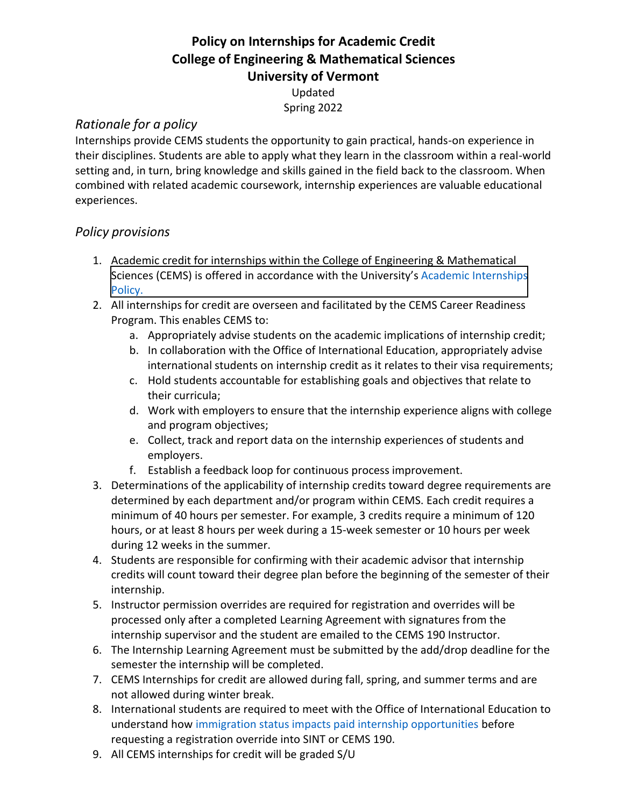## **Policy on Internships for Academic Credit College of Engineering & Mathematical Sciences University of Vermont**

Updated Spring 2022

## *Rationale for a policy*

Internships provide CEMS students the opportunity to gain practical, hands-on experience in their disciplines. Students are able to apply what they learn in the classroom within a real-world setting and, in turn, bring knowledge and skills gained in the field back to the classroom. When combined with related academic coursework, internship experiences are valuable educational experiences.

## *Policy provisions*

- 1. Academic credit for internships within the College of Engineering & Mathematical Sciences (CEMS) is of[fered in accordance with the University's](http://catalogue.uvm.edu/undergraduate/academicinfo/academicinternships/) Academic Internships Policy.
- 2. All internships for credit are overseen and facilitated by the CEMS Career Readiness Program. This enables CEMS to:
	- a. Appropriately advise students on the academic implications of internship credit;
	- b. In collaboration with the Office of International Education, appropriately advise international students on internship credit as it relates to their visa requirements;
	- c. Hold students accountable for establishing goals and objectives that relate to their curricula;
	- d. Work with employers to ensure that the internship experience aligns with college and program objectives;
	- e. Collect, track and report data on the internship experiences of students and employers.
	- f. Establish a feedback loop for continuous process improvement.
- 3. Determinations of the applicability of internship credits toward degree requirements are determined by each department and/or program within CEMS. Each credit requires a minimum of 40 hours per semester. For example, 3 credits require a minimum of 120 hours, or at least 8 hours per week during a 15-week semester or 10 hours per week during 12 weeks in the summer.
- 4. Students are responsible for confirming with their academic advisor that internship credits will count toward their degree plan before the beginning of the semester of their internship.
- 5. Instructor permission overrides are required for registration and overrides will be processed only after a completed Learning Agreement with signatures from the internship supervisor and the student are emailed to the CEMS 190 Instructor.
- 6. The Internship Learning Agreement must be submitted by the add/drop deadline for the semester the internship will be completed.
- 7. CEMS Internships for credit are allowed during fall, spring, and summer terms and are not allowed during winter break.
- 8. International students are required to meet with the Office of International Education to understand how immigration status impacts paid internship opportunities before requesting a registration override into SINT or CEMS 190.
- 9. All CEMS internships for credit will be graded S/U